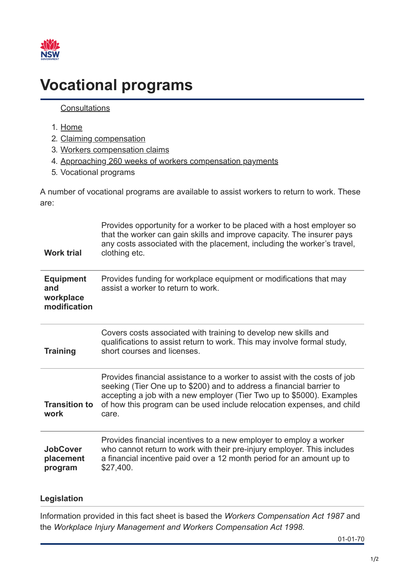

## **Vocational programs**

## **[Consultations](https://www.sira.nsw.gov.au/consultations)**

2. [Claiming compensation](https://www.sira.nsw.gov.au/claiming-compensation)

3. [Workers compensation claims](https://www.sira.nsw.gov.au/claiming-compensation/workers-compensation-claims)

1. [Home](https://www.sira.nsw.gov.au/)

| 4. Approaching 260 weeks of workers compensation payments                                        |                                                                                                                                                                                                                                                                                                               |
|--------------------------------------------------------------------------------------------------|---------------------------------------------------------------------------------------------------------------------------------------------------------------------------------------------------------------------------------------------------------------------------------------------------------------|
| 5. Vocational programs                                                                           |                                                                                                                                                                                                                                                                                                               |
| A number of vocational programs are available to assist workers to return to work. These<br>are: |                                                                                                                                                                                                                                                                                                               |
| <b>Work trial</b>                                                                                | Provides opportunity for a worker to be placed with a host employer so<br>that the worker can gain skills and improve capacity. The insurer pays<br>any costs associated with the placement, including the worker's travel,<br>clothing etc.                                                                  |
| <b>Equipment</b><br>and<br>workplace<br>modification                                             | Provides funding for workplace equipment or modifications that may<br>assist a worker to return to work.                                                                                                                                                                                                      |
| <b>Training</b>                                                                                  | Covers costs associated with training to develop new skills and<br>qualifications to assist return to work. This may involve formal study,<br>short courses and licenses.                                                                                                                                     |
| <b>Transition to</b><br>work                                                                     | Provides financial assistance to a worker to assist with the costs of job<br>seeking (Tier One up to \$200) and to address a financial barrier to<br>accepting a job with a new employer (Tier Two up to \$5000). Examples<br>of how this program can be used include relocation expenses, and child<br>care. |
| <b>JobCover</b><br>placement<br>program                                                          | Provides financial incentives to a new employer to employ a worker<br>who cannot return to work with their pre-injury employer. This includes<br>a financial incentive paid over a 12 month period for an amount up to<br>\$27,400.                                                                           |
| Legislation                                                                                      |                                                                                                                                                                                                                                                                                                               |

Information provided in this fact sheet is based the *Workers Compensation Act 1987* and the *Workplace Injury Management and Workers Compensation Act 1998.*

01-01-70